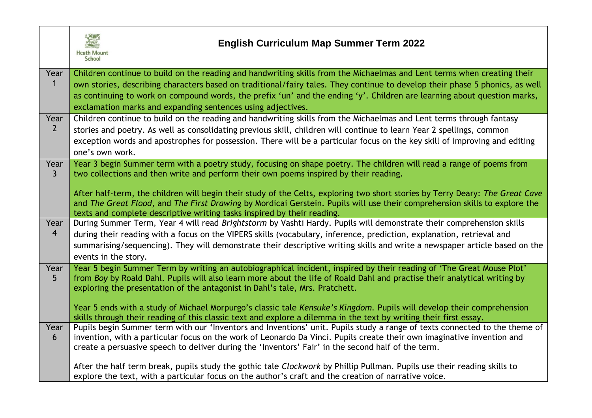

## **English Curriculum Map Summer Term 2022**

| Year<br>$\mathbf{1}$   | Children continue to build on the reading and handwriting skills from the Michaelmas and Lent terms when creating their<br>own stories, describing characters based on traditional/fairy tales. They continue to develop their phase 5 phonics, as well<br>as continuing to work on compound words, the prefix 'un' and the ending 'y'. Children are learning about question marks,<br>exclamation marks and expanding sentences using adjectives.                              |
|------------------------|---------------------------------------------------------------------------------------------------------------------------------------------------------------------------------------------------------------------------------------------------------------------------------------------------------------------------------------------------------------------------------------------------------------------------------------------------------------------------------|
| Year<br>$\overline{2}$ | Children continue to build on the reading and handwriting skills from the Michaelmas and Lent terms through fantasy<br>stories and poetry. As well as consolidating previous skill, children will continue to learn Year 2 spellings, common<br>exception words and apostrophes for possession. There will be a particular focus on the key skill of improving and editing<br>one's own work.                                                                                   |
| Year<br>$\mathsf{3}$   | Year 3 begin Summer term with a poetry study, focusing on shape poetry. The children will read a range of poems from<br>two collections and then write and perform their own poems inspired by their reading.<br>After half-term, the children will begin their study of the Celts, exploring two short stories by Terry Deary: The Great Cave                                                                                                                                  |
|                        | and The Great Flood, and The First Drawing by Mordicai Gerstein. Pupils will use their comprehension skills to explore the<br>texts and complete descriptive writing tasks inspired by their reading.                                                                                                                                                                                                                                                                           |
| Year<br>$\overline{4}$ | During Summer Term, Year 4 will read Brightstorm by Vashti Hardy. Pupils will demonstrate their comprehension skills<br>during their reading with a focus on the VIPERS skills (vocabulary, inference, prediction, explanation, retrieval and<br>summarising/sequencing). They will demonstrate their descriptive writing skills and write a newspaper article based on the<br>events in the story.                                                                             |
| Year<br>5 <sup>5</sup> | Year 5 begin Summer Term by writing an autobiographical incident, inspired by their reading of 'The Great Mouse Plot'<br>from Boy by Roald Dahl. Pupils will also learn more about the life of Roald Dahl and practise their analytical writing by<br>exploring the presentation of the antagonist in Dahl's tale, Mrs. Pratchett.<br>Year 5 ends with a study of Michael Morpurgo's classic tale Kensuke's Kingdom. Pupils will develop their comprehension                    |
| Year<br>6              | skills through their reading of this classic text and explore a dilemma in the text by writing their first essay.<br>Pupils begin Summer term with our 'Inventors and Inventions' unit. Pupils study a range of texts connected to the theme of<br>invention, with a particular focus on the work of Leonardo Da Vinci. Pupils create their own imaginative invention and<br>create a persuasive speech to deliver during the 'Inventors' Fair' in the second half of the term. |
|                        | After the half term break, pupils study the gothic tale Clockwork by Phillip Pullman. Pupils use their reading skills to<br>explore the text, with a particular focus on the author's craft and the creation of narrative voice.                                                                                                                                                                                                                                                |